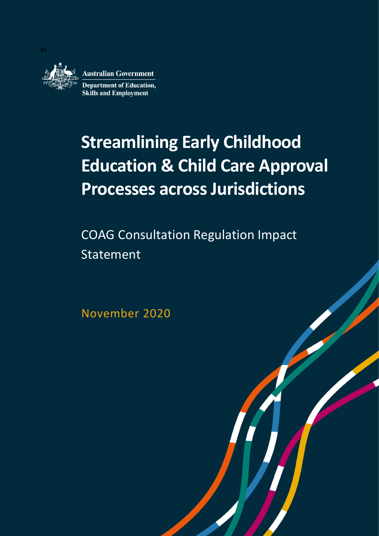

# **Streamlining Early Childhood Education & Child Care Approval Processes across Jurisdictions**

COAG Consultation Regulation Impact Statement

**OFFICIAL ARTISTS** 

November 2020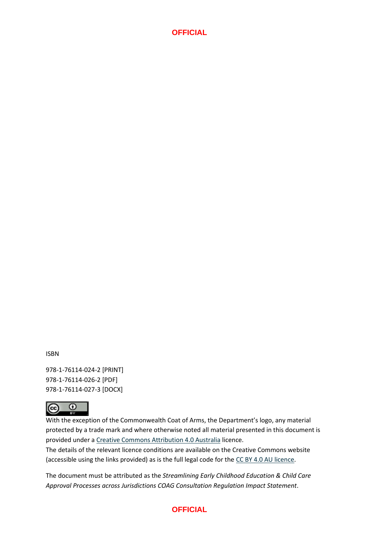ISBN

978-1-76114-024-2 [PRINT] 978-1-76114-026-2 [PDF] 978-1-76114-027-3 [DOCX]



With the exception of the Commonwealth Coat of Arms, the Department's logo, any material protected by a trade mark and where otherwise noted all material presented in this document is provided under a [Creative Commons Attribution 4.0 Australia](https://creativecommons.org/licenses/by/4.0/) licence.

The details of the relevant licence conditions are available on the Creative Commons website (accessible using the links provided) as is the full legal code for th[e CC BY 4.0 AU licence.](https://creativecommons.org/licenses/by/4.0/legalcode)

The document must be attributed as the *Streamlining Early Childhood Education & Child Care Approval Processes across Jurisdictions COAG Consultation Regulation Impact Statement*.

## **OFFICIAL**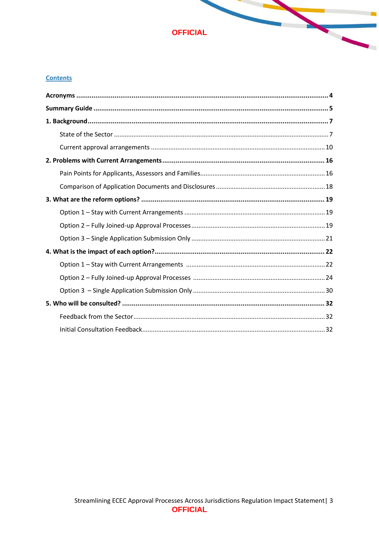

 $\overline{\phantom{a}}$ 

#### **Contents**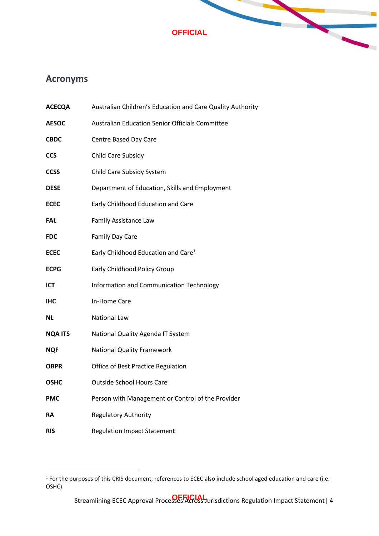

# <span id="page-3-0"></span>**Acronyms**

| <b>ACECQA</b>  | Australian Children's Education and Care Quality Authority |
|----------------|------------------------------------------------------------|
| <b>AESOC</b>   | <b>Australian Education Senior Officials Committee</b>     |
| CBDC           | Centre Based Day Care                                      |
| <b>CCS</b>     | Child Care Subsidy                                         |
| <b>CCSS</b>    | Child Care Subsidy System                                  |
| <b>DESE</b>    | Department of Education, Skills and Employment             |
| ECEC           | Early Childhood Education and Care                         |
| FAL            | Family Assistance Law                                      |
| FDC            | <b>Family Day Care</b>                                     |
| ECEC           | Early Childhood Education and Care <sup>1</sup>            |
| <b>ECPG</b>    | <b>Early Childhood Policy Group</b>                        |
| ICT            | Information and Communication Technology                   |
| IHC            | In-Home Care                                               |
| ΝL             | <b>National Law</b>                                        |
| <b>NQA ITS</b> | National Quality Agenda IT System                          |
| NQF            | <b>National Quality Framework</b>                          |
| OBPR           | Office of Best Practice Regulation                         |
| OSHC           | <b>Outside School Hours Care</b>                           |
| PMC            | Person with Management or Control of the Provider          |
| RA             | <b>Regulatory Authority</b>                                |
| RIS            | <b>Regulation Impact Statement</b>                         |

<sup>&</sup>lt;sup>1</sup> For the purposes of this CRIS document, references to ECEC also include school aged education and care (i.e. OSHC)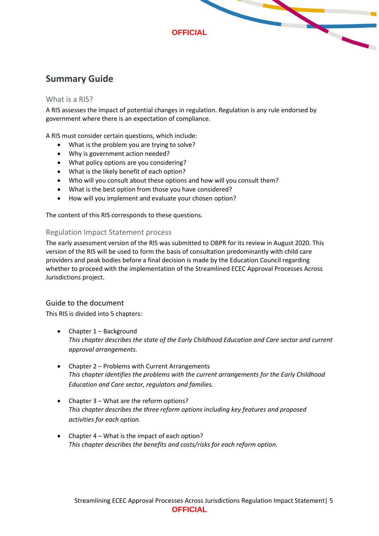# <span id="page-4-0"></span>**Summary Guide**

#### What is a RIS?

A RIS assesses the impact of potential changes in regulation. Regulation is any rule endorsed by government where there is an expectation of compliance.

A RIS must consider certain questions, which include:

- What is the problem you are trying to solve?
- Why is government action needed?
- What policy options are you considering?
- What is the likely benefit of each option?
- Who will you consult about these options and how will you consult them?
- What is the best option from those you have considered?
- How will you implement and evaluate your chosen option?

The content of this RIS corresponds to these questions.

#### Regulation Impact Statement process

The early assessment version of the RIS was submitted to OBPR for its review in August 2020. This version of the RIS will be used to form the basis of consultation predominantly with child care providers and peak bodies before a final decision is made by the Education Council regarding whether to proceed with the implementation of the Streamlined ECEC Approval Processes Across Jurisdictions project.

## Guide to the document

This RIS is divided into 5 chapters:

- Chapter 1 Background *This chapter describes the state of the Early Childhood Education and Care sector and current approval arrangements.*
- Chapter 2 Problems with Current Arrangements *This chapter identifies the problems with the current arrangements for the Early Childhood Education and Care sector, regulators and families.*
- Chapter 3 What are the reform options? *This chapter describes the three reform options including key features and proposed activities for each option.*
- Chapter 4 What is the impact of each option? *This chapter describes the benefits and costs/risks for each reform option.*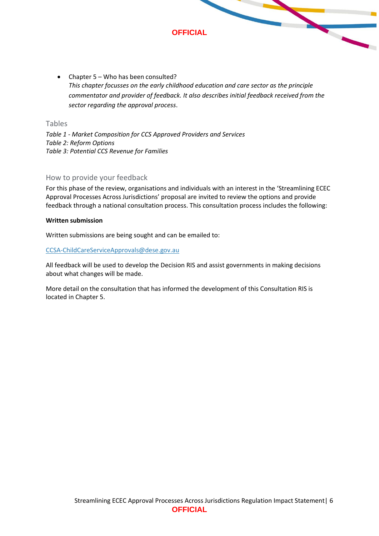

• Chapter 5 – Who has been consulted? *This chapter focusses on the early childhood education and care sector as the principle commentator and provider of feedback. It also describes initial feedback received from the sector regarding the approval process*.

## Tables

*Table 1 - Market Composition for CCS Approved Providers and Services Table 2: Reform Options Table 3: Potential CCS Revenue for Families*

#### How to provide your feedback

For this phase of the review, organisations and individuals with an interest in the 'Streamlining ECEC Approval Processes Across Jurisdictions' proposal are invited to review the options and provide feedback through a national consultation process. This consultation process includes the following:

#### **Written submission**

Written submissions are being sought and can be emailed to:

#### [CCSA-ChildCareServiceApprovals@dese.gov.au](mailto:CCSA-ChildCareServiceApprovals@dese.gov.au)

All feedback will be used to develop the Decision RIS and assist governments in making decisions about what changes will be made.

More detail on the consultation that has informed the development of this Consultation RIS is located in Chapter 5.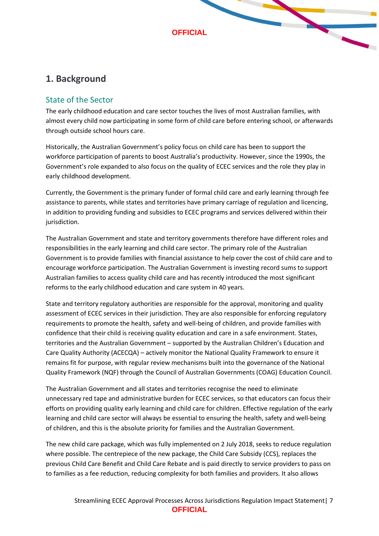

# <span id="page-6-0"></span>**1. Background**

# <span id="page-6-1"></span>State of the Sector

The early childhood education and care sector touches the lives of most Australian families, with almost every child now participating in some form of child care before entering school, or afterwards through outside school hours care.

Historically, the Australian Government's policy focus on child care has been to support the workforce participation of parents to boost Australia's productivity. However, since the 1990s, the Government's role expanded to also focus on the quality of ECEC services and the role they play in early childhood development.

Currently, the Government is the primary funder of formal child care and early learning through fee assistance to parents, while states and territories have primary carriage of regulation and licencing, in addition to providing funding and subsidies to ECEC programs and services delivered within their jurisdiction.

The Australian Government and state and territory governments therefore have different roles and responsibilities in the early learning and child care sector. The primary role of the Australian Government is to provide families with financial assistance to help cover the cost of child care and to encourage workforce participation. The Australian Government is investing record sums to support Australian families to access quality child care and has recently introduced the most significant reforms to the early childhood education and care system in 40 years.

State and territory regulatory authorities are responsible for the approval, monitoring and quality assessment of ECEC services in their jurisdiction. They are also responsible for enforcing regulatory requirements to promote the health, safety and well-being of children, and provide families with confidence that their child is receiving quality education and care in a safe environment. States, territories and the Australian Government – supported by the Australian Children's Education and Care Quality Authority (ACECQA) – actively monitor the National Quality Framework to ensure it remains fit for purpose, with regular review mechanisms built into the governance of the National Quality Framework (NQF) through the Council of Australian Governments (COAG) Education Council.

The Australian Government and all states and territories recognise the need to eliminate unnecessary red tape and administrative burden for ECEC services, so that educators can focus their efforts on providing quality early learning and child care for children. Effective regulation of the early learning and child care sector will always be essential to ensuring the health, safety and well-being of children, and this is the absolute priority for families and the Australian Government.

The new child care package, which was fully implemented on 2 July 2018, seeks to reduce regulation where possible. The centrepiece of the new package, the Child Care Subsidy (CCS), replaces the previous Child Care Benefit and Child Care Rebate and is paid directly to service providers to pass on to families as a fee reduction, reducing complexity for both families and providers. It also allows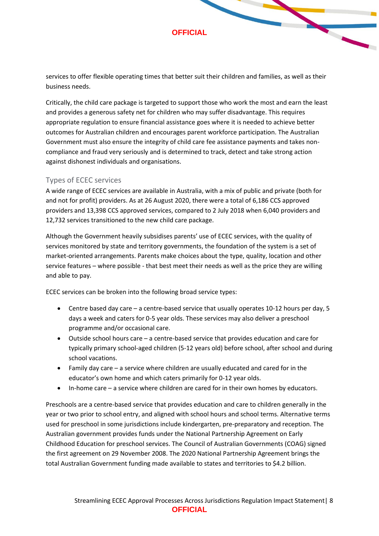services to offer flexible operating times that better suit their children and families, as well as their business needs.

Critically, the child care package is targeted to support those who work the most and earn the least and provides a generous safety net for children who may suffer disadvantage. This requires appropriate regulation to ensure financial assistance goes where it is needed to achieve better outcomes for Australian children and encourages parent workforce participation. The Australian Government must also ensure the integrity of child care fee assistance payments and takes noncompliance and fraud very seriously and is determined to track, detect and take strong action against dishonest individuals and organisations.

## Types of ECEC services

A wide range of ECEC services are available in Australia, with a mix of public and private (both for and not for profit) providers. As at 26 August 2020, there were a total of 6,186 CCS approved providers and 13,398 CCS approved services, compared to 2 July 2018 when 6,040 providers and 12,732 services transitioned to the new child care package.

Although the Government heavily subsidises parents' use of ECEC services, with the quality of services monitored by state and territory governments, the foundation of the system is a set of market-oriented arrangements. Parents make choices about the type, quality, location and other service features – where possible - that best meet their needs as well as the price they are willing and able to pay.

ECEC services can be broken into the following broad service types:

- Centre based day care a centre-based service that usually operates 10-12 hours per day, 5 days a week and caters for 0-5 year olds. These services may also deliver a preschool programme and/or occasional care.
- Outside school hours care a centre-based service that provides education and care for typically primary school-aged children (5-12 years old) before school, after school and during school vacations.
- Family day care a service where children are usually educated and cared for in the educator's own home and which caters primarily for 0-12 year olds.
- In-home care a service where children are cared for in their own homes by educators.

Preschools are a centre-based service that provides education and care to children generally in the year or two prior to school entry, and aligned with school hours and school terms. Alternative terms used for preschool in some jurisdictions include kindergarten, pre-preparatory and reception. The Australian government provides funds under the National Partnership Agreement on Early Childhood Education for preschool services. The Council of Australian Governments (COAG) signed the first agreement on 29 November 2008. The 2020 National Partnership Agreement brings the total Australian Government funding made available to states and territories to \$4.2 billion.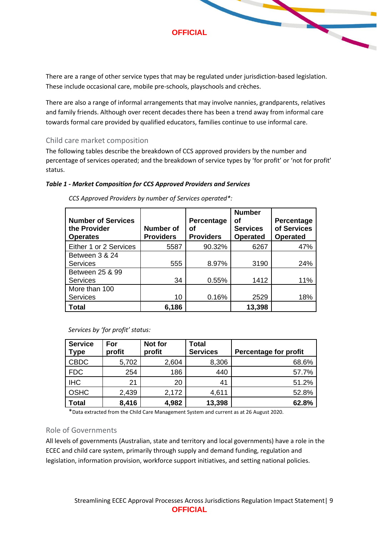There are a range of other service types that may be regulated under jurisdiction-based legislation. These include occasional care, mobile pre-schools, playschools and crèches.

There are also a range of informal arrangements that may involve nannies, grandparents, relatives and family friends. Although over recent decades there has been a trend away from informal care towards formal care provided by qualified educators, families continue to use informal care.

#### Child care market composition

The following tables describe the breakdown of CCS approved providers by the number and percentage of services operated; and the breakdown of service types by 'for profit' or 'not for profit' status.

#### *Table 1 - Market Composition for CCS Approved Providers and Services*

| <b>Number of Services</b><br>the Provider<br><b>Operates</b> | <b>Number of</b><br><b>Providers</b> | Percentage<br>οf<br><b>Providers</b> | <b>Number</b><br>οf<br><b>Services</b><br><b>Operated</b> | Percentage<br>of Services<br><b>Operated</b> |
|--------------------------------------------------------------|--------------------------------------|--------------------------------------|-----------------------------------------------------------|----------------------------------------------|
| Either 1 or 2 Services                                       | 5587                                 | 90.32%                               | 6267                                                      | 47%                                          |
| Between 3 & 24                                               |                                      |                                      |                                                           |                                              |
| <b>Services</b>                                              | 555                                  | 8.97%                                | 3190                                                      | 24%                                          |
| Between 25 & 99                                              |                                      |                                      |                                                           |                                              |
| <b>Services</b>                                              | 34                                   | 0.55%                                | 1412                                                      | 11%                                          |
| More than 100                                                |                                      |                                      |                                                           |                                              |
| <b>Services</b>                                              | 10                                   | 0.16%                                | 2529                                                      | 18%                                          |
| <b>Total</b>                                                 | 6,186                                |                                      | 13,398                                                    |                                              |

*CCS Approved Providers by number of Services operated\*:*

| Services by 'for profit' status: |  |         |  |  |
|----------------------------------|--|---------|--|--|
| Service For                      |  | Not for |  |  |

| <b>Service</b><br><b>Type</b> | For<br>profit | Not for<br>profit | <b>Total</b><br><b>Services</b> | Percentage for profit |
|-------------------------------|---------------|-------------------|---------------------------------|-----------------------|
| <b>CBDC</b>                   | 5,702         | 2,604             | 8,306                           | 68.6%                 |
| <b>FDC</b>                    | 254           | 186               | 440                             | 57.7%                 |
| <b>IHC</b>                    | 21            | 20                | 41                              | 51.2%                 |
| <b>OSHC</b>                   | 2,439         | 2,172             | 4,611                           | 52.8%                 |
| <b>Total</b>                  | 8,416         | 4,982             | 13,398                          | 62.8%                 |

\*Data extracted from the Child Care Management System and current as at 26 August 2020.

#### Role of Governments

All levels of governments (Australian, state and territory and local governments) have a role in the ECEC and child care system, primarily through supply and demand funding, regulation and legislation, information provision, workforce support initiatives, and setting national policies.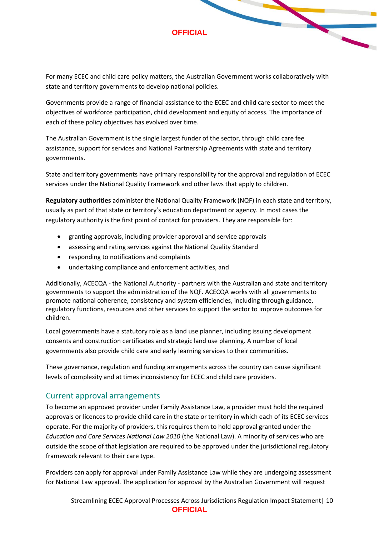For many ECEC and child care policy matters, the Australian Government works collaboratively with state and territory governments to develop national policies.

Governments provide a range of financial assistance to the ECEC and child care sector to meet the objectives of workforce participation, child development and equity of access. The importance of each of these policy objectives has evolved over time.

The Australian Government is the single largest funder of the sector, through child care fee assistance, support for services and National Partnership Agreements with state and territory governments.

State and territory governments have primary responsibility for the approval and regulation of ECEC services under the National Quality Framework and other laws that apply to children.

**Regulatory authorities** administer the National Quality Framework (NQF) in each state and territory, usually as part of that state or territory's education department or agency. In most cases the regulatory authority is the first point of contact for providers. They are responsible for:

- granting approvals, including provider approval and service approvals
- assessing and rating services against the National Quality Standard
- responding to notifications and complaints
- undertaking compliance and enforcement activities, and

Additionally, ACECQA - the National Authority - partners with the Australian and state and territory governments to support the administration of the NQF. ACECQA works with all governments to promote national coherence, consistency and system efficiencies, including through guidance, regulatory functions, resources and other services to support the sector to improve outcomes for children.

Local governments have a statutory role as a land use planner, including issuing development consents and construction certificates and strategic land use planning. A number of local governments also provide child care and early learning services to their communities.

These governance, regulation and funding arrangements across the country can cause significant levels of complexity and at times inconsistency for ECEC and child care providers.

## <span id="page-9-0"></span>Current approval arrangements

To become an approved provider under Family Assistance Law, a provider must hold the required approvals or licences to provide child care in the state or territory in which each of its ECEC services operate. For the majority of providers, this requires them to hold approval granted under the *Education and Care Services National Law 2010* (the National Law). A minority of services who are outside the scope of that legislation are required to be approved under the jurisdictional regulatory framework relevant to their care type.

Providers can apply for approval under Family Assistance Law while they are undergoing assessment for National Law approval. The application for approval by the Australian Government will request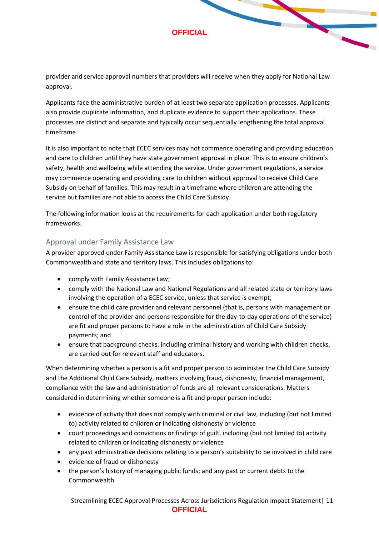provider and service approval numbers that providers will receive when they apply for National Law approval.

Applicants face the administrative burden of at least two separate application processes. Applicants also provide duplicate information, and duplicate evidence to support their applications. These processes are distinct and separate and typically occur sequentially lengthening the total approval timeframe.

It is also important to note that ECEC services may not commence operating and providing education and care to children until they have state government approval in place. This is to ensure children's safety, health and wellbeing while attending the service. Under government regulations, a service may commence operating and providing care to children without approval to receive Child Care Subsidy on behalf of families. This may result in a timeframe where children are attending the service but families are not able to access the Child Care Subsidy.

The following information looks at the requirements for each application under both regulatory frameworks.

## Approval under Family Assistance Law

A provider approved under Family Assistance Law is responsible for satisfying obligations under both Commonwealth and state and territory laws. This includes obligations to:

- comply with Family Assistance Law;
- comply with the National Law and National Regulations and all related state or territory laws involving the operation of a ECEC service, unless that service is exempt;
- ensure the child care provider and relevant personnel (that is, persons with management or control of the provider and persons responsible for the day-to-day operations of the service) are fit and proper persons to have a role in the administration of Child Care Subsidy payments; and
- ensure that background checks, including criminal history and working with children checks, are carried out for relevant staff and educators.

When determining whether a person is a fit and proper person to administer the Child Care Subsidy and the Additional Child Care Subsidy, matters involving fraud, dishonesty, financial management, compliance with the law and administration of funds are all relevant considerations. Matters considered in determining whether someone is a fit and proper person include:

- evidence of activity that does not comply with criminal or civil law, including (but not limited to) activity related to children or indicating dishonesty or violence
- court proceedings and convictions or findings of guilt, including (but not limited to) activity related to children or indicating dishonesty or violence
- any past administrative decisions relating to a person's suitability to be involved in child care
- evidence of fraud or dishonesty
- the person's history of managing public funds; and any past or current debts to the Commonwealth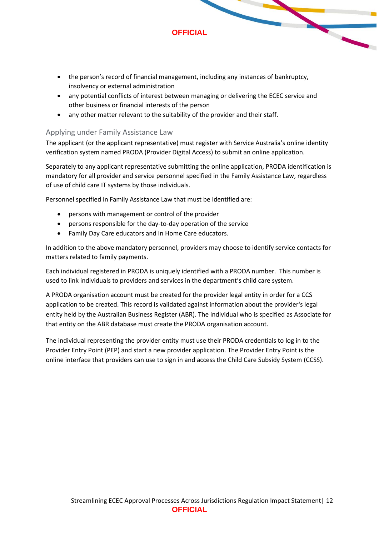

- any potential conflicts of interest between managing or delivering the ECEC service and other business or financial interests of the person
- any other matter relevant to the suitability of the provider and their staff.

#### Applying under Family Assistance Law

The applicant (or the applicant representative) must register with Service Australia's online identity verification system named PRODA (Provider Digital Access) to submit an online application.

Separately to any applicant representative submitting the online application, PRODA identification is mandatory for all provider and service personnel specified in the Family Assistance Law, regardless of use of child care IT systems by those individuals.

Personnel specified in Family Assistance Law that must be identified are:

- persons with management or control of the provider
- persons responsible for the day-to-day operation of the service
- Family Day Care educators and In Home Care educators.

In addition to the above mandatory personnel, providers may choose to identify service contacts for matters related to family payments.

Each individual registered in PRODA is uniquely identified with a PRODA number. This number is used to link individuals to providers and services in the department's child care system.

A PRODA organisation account must be created for the provider legal entity in order for a CCS application to be created. This record is validated against information about the provider's legal entity held by the Australian Business Register (ABR). The individual who is specified as Associate for that entity on the ABR database must create the PRODA organisation account.

The individual representing the provider entity must use their PRODA credentials to log in to the Provider Entry Point (PEP) and start a new provider application. The Provider Entry Point is the online interface that providers can use to sign in and access the Child Care Subsidy System (CCSS).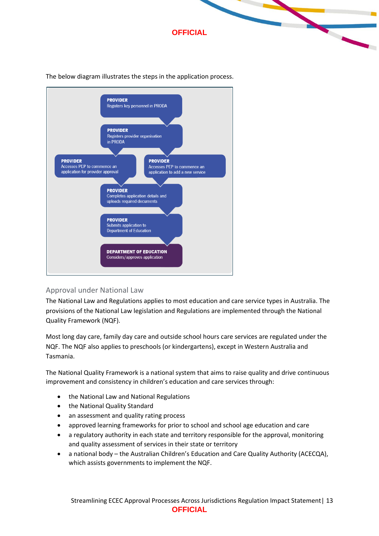



The below diagram illustrates the steps in the application process.

# Approval under National Law

The National Law and Regulations applies to most education and care service types in Australia. The provisions of the National Law legislation and Regulations are implemented through the National Quality Framework (NQF).

Most long day care, family day care and outside school hours care services are regulated under the NQF. The NQF also applies to preschools (or kindergartens), except in Western Australia and Tasmania.

The National Quality Framework is a national system that aims to raise quality and drive continuous improvement and consistency in children's education and care services through:

- the National Law and National Regulations
- the National Quality Standard
- an assessment and quality rating process
- approved learning frameworks for prior to school and school age education and care
- a regulatory authority in each state and territory responsible for the approval, monitoring and quality assessment of services in their state or territory
- a national body the Australian Children's Education and Care Quality Authority (ACECQA), which assists governments to implement the NQF.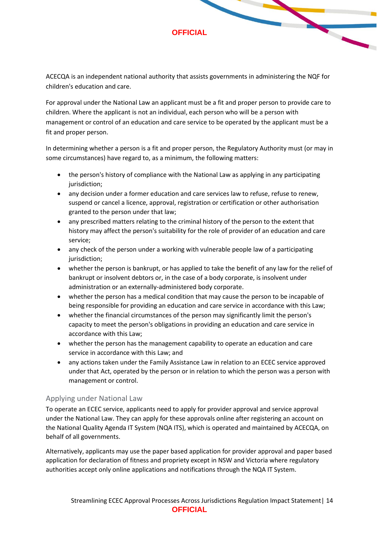ACECQA is an independent national authority that assists governments in administering the NQF for children's education and care.

For approval under the National Law an applicant must be a fit and proper person to provide care to children. Where the applicant is not an individual, each person who will be a person with management or control of an education and care service to be operated by the applicant must be a fit and proper person.

In determining whether a person is a fit and proper person, the Regulatory Authority must (or may in some circumstances) have regard to, as a minimum, the following matters:

- the person's history of compliance with the National Law as applying in any participating jurisdiction;
- any decision under a former education and care services law to refuse, refuse to renew, suspend or cancel a licence, approval, registration or certification or other authorisation granted to the person under that law;
- any prescribed matters relating to the criminal history of the person to the extent that history may affect the person's suitability for the role of provider of an education and care service;
- any check of the person under a working with vulnerable people law of a participating jurisdiction;
- whether the person is bankrupt, or has applied to take the benefit of any law for the relief of bankrupt or insolvent debtors or, in the case of a body corporate, is insolvent under administration or an externally-administered body corporate.
- whether the person has a medical condition that may cause the person to be incapable of being responsible for providing an education and care service in accordance with this Law;
- whether the financial circumstances of the person may significantly limit the person's capacity to meet the person's obligations in providing an education and care service in accordance with this Law;
- whether the person has the management capability to operate an education and care service in accordance with this Law; and
- any actions taken under the Family Assistance Law in relation to an ECEC service approved under that Act, operated by the person or in relation to which the person was a person with management or control.

## Applying under National Law

To operate an ECEC service, applicants need to apply for provider approval and service approval under the National Law. They can apply for these approvals online after registering an account on the National Quality Agenda IT System (NQA ITS), which is operated and maintained by ACECQA, on behalf of all governments.

Alternatively, applicants may use the paper based application for provider approval and paper based application for declaration of fitness and propriety except in NSW and Victoria where regulatory authorities accept only online applications and notifications through the NQA IT System.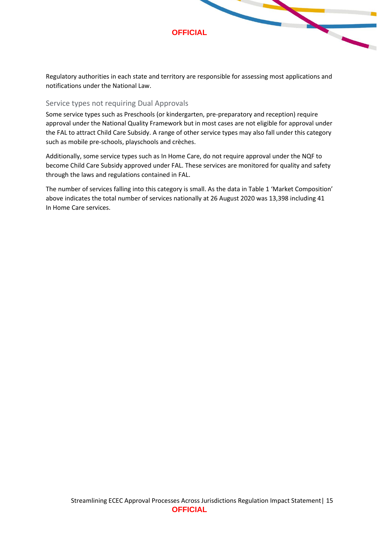

Regulatory authorities in each state and territory are responsible for assessing most applications and notifications under the National Law.

## Service types not requiring Dual Approvals

Some service types such as Preschools (or kindergarten, pre-preparatory and reception) require approval under the National Quality Framework but in most cases are not eligible for approval under the FAL to attract Child Care Subsidy. A range of other service types may also fall under this category such as mobile pre-schools, playschools and crèches.

Additionally, some service types such as In Home Care, do not require approval under the NQF to become Child Care Subsidy approved under FAL. These services are monitored for quality and safety through the laws and regulations contained in FAL.

The number of services falling into this category is small. As the data in Table 1 'Market Composition' above indicates the total number of services nationally at 26 August 2020 was 13,398 including 41 In Home Care services.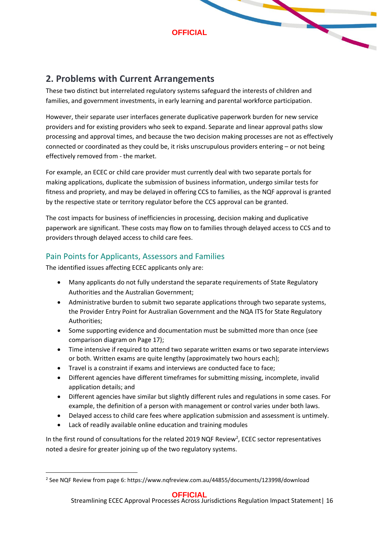# <span id="page-15-0"></span>**2. Problems with Current Arrangements**

These two distinct but interrelated regulatory systems safeguard the interests of children and families, and government investments, in early learning and parental workforce participation.

However, their separate user interfaces generate duplicative paperwork burden for new service providers and for existing providers who seek to expand. Separate and linear approval paths slow processing and approval times, and because the two decision making processes are not as effectively connected or coordinated as they could be, it risks unscrupulous providers entering – or not being effectively removed from - the market.

For example, an ECEC or child care provider must currently deal with two separate portals for making applications, duplicate the submission of business information, undergo similar tests for fitness and propriety, and may be delayed in offering CCS to families, as the NQF approval is granted by the respective state or territory regulator before the CCS approval can be granted.

The cost impacts for business of inefficiencies in processing, decision making and duplicative paperwork are significant. These costs may flow on to families through delayed access to CCS and to providers through delayed access to child care fees.

# <span id="page-15-1"></span>Pain Points for Applicants, Assessors and Families

The identified issues affecting ECEC applicants only are:

- Many applicants do not fully understand the separate requirements of State Regulatory Authorities and the Australian Government;
- Administrative burden to submit two separate applications through two separate systems, the Provider Entry Point for Australian Government and the NQA ITS for State Regulatory Authorities;
- Some supporting evidence and documentation must be submitted more than once (see comparison diagram on Page 17);
- Time intensive if required to attend two separate written exams or two separate interviews or both. Written exams are quite lengthy (approximately two hours each);
- Travel is a constraint if exams and interviews are conducted face to face;
- Different agencies have different timeframes for submitting missing, incomplete, invalid application details; and
- Different agencies have similar but slightly different rules and regulations in some cases. For example, the definition of a person with management or control varies under both laws.
- Delayed access to child care fees where application submission and assessment is untimely.
- Lack of readily available online education and training modules

In the first round of consultations for the related 2019 NQF Review<sup>2</sup>, ECEC sector representatives noted a desire for greater joining up of the two regulatory systems.

<sup>2</sup> See NQF Review from page 6: https://www.nqfreview.com.au/44855/documents/123998/download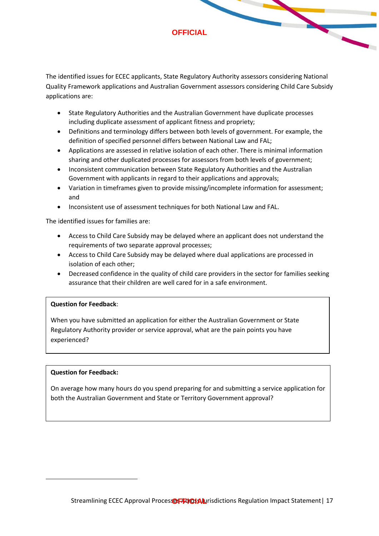The identified issues for ECEC applicants, State Regulatory Authority assessors considering National Quality Framework applications and Australian Government assessors considering Child Care Subsidy applications are:

- State Regulatory Authorities and the Australian Government have duplicate processes including duplicate assessment of applicant fitness and propriety;
- Definitions and terminology differs between both levels of government. For example, the definition of specified personnel differs between National Law and FAL;
- Applications are assessed in relative isolation of each other. There is minimal information sharing and other duplicated processes for assessors from both levels of government;
- Inconsistent communication between State Regulatory Authorities and the Australian Government with applicants in regard to their applications and approvals;
- Variation in timeframes given to provide missing/incomplete information for assessment; and
- Inconsistent use of assessment techniques for both National Law and FAL.

The identified issues for families are:

- Access to Child Care Subsidy may be delayed where an applicant does not understand the requirements of two separate approval processes;
- Access to Child Care Subsidy may be delayed where dual applications are processed in isolation of each other;
- Decreased confidence in the quality of child care providers in the sector for families seeking assurance that their children are well cared for in a safe environment.

#### **Question for Feedback**:

When you have submitted an application for either the Australian Government or State Regulatory Authority provider or service approval, what are the pain points you have experienced?

#### **Question for Feedback:**

On average how many hours do you spend preparing for and submitting a service application for both the Australian Government and State or Territory Government approval?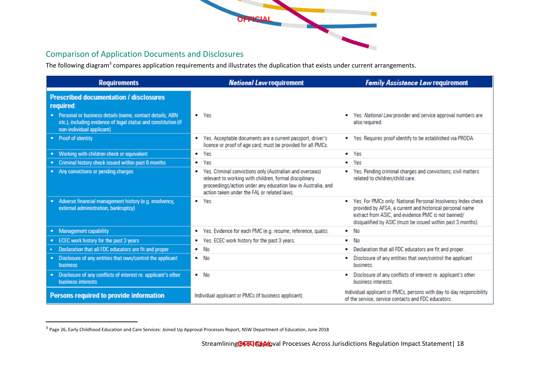

# Comparison of Application Documents and Disclosures

The following diagram<sup>3</sup> compares application requirements and illustrates the duplication that exists under current arrangements.

| <b>Requirements</b>                                                                                                                                       | <b>National Law requirement</b>                                                                                                                                                                                                        | <b>Family Assistance Law requirement</b>                                                                                                                                                                                                           |  |
|-----------------------------------------------------------------------------------------------------------------------------------------------------------|----------------------------------------------------------------------------------------------------------------------------------------------------------------------------------------------------------------------------------------|----------------------------------------------------------------------------------------------------------------------------------------------------------------------------------------------------------------------------------------------------|--|
| <b>Prescribed documentation / disclosures</b><br>required:                                                                                                |                                                                                                                                                                                                                                        |                                                                                                                                                                                                                                                    |  |
| • Personal or business details (name, contact details, ABN<br>etc.), including evidence of legal status and constitution (if<br>non-individual applicant) | $\bullet$ Yes                                                                                                                                                                                                                          | Yes. National Law provider and service approval numbers are<br>also required.                                                                                                                                                                      |  |
| • Proof of identity                                                                                                                                       | Yes. Acceptable documents are a current passport, driver's<br>٠<br>licence or proof of age card; must be provided for all PMCs.                                                                                                        | Yes. Requires proof identify to be established via PRODA.                                                                                                                                                                                          |  |
| • Working with children check or equivalent                                                                                                               | $\bullet$ Yes                                                                                                                                                                                                                          | Yes                                                                                                                                                                                                                                                |  |
| Criminal history check issued within past 6 months<br>٠                                                                                                   | Yes<br>۰                                                                                                                                                                                                                               | Yes<br>$\bullet$                                                                                                                                                                                                                                   |  |
| • Any convictions or pending charges                                                                                                                      | Yes. Criminal convictions only (Australian and overseas)<br>۰<br>relevant to working with children, formal disciplinary<br>proceedings/action under any education law in Australia, and<br>action taken under the FAL or related laws. | Yes. Pending criminal charges and convictions; civil matters<br>related to children/child care.                                                                                                                                                    |  |
| Adverse financial management history (e.g. insolvency,<br>٠<br>external administration, bankruptcy)                                                       | Yes<br>$\bullet$                                                                                                                                                                                                                       | Yes. For PMCs only: National Personal Insolvency Index check<br>٠<br>provided by AFSA, a current and historical personal name<br>extract from ASIC, and evidence PMC is not banned/<br>disqualified by ASIC (must be issued within past 3 months). |  |
| Management capability                                                                                                                                     | • Yes. Evidence for each PMC (e.g. resume, reference, quals).                                                                                                                                                                          | $\bullet$ No                                                                                                                                                                                                                                       |  |
| ECEC work history for the past 3 years                                                                                                                    | Yes. ECEC work history for the past 3 years.<br>٠                                                                                                                                                                                      | $\bullet$ No                                                                                                                                                                                                                                       |  |
| Declaration that all FDC educators are fit and proper                                                                                                     | $\bullet$ No                                                                                                                                                                                                                           | Declaration that all FDC educators are fit and proper.<br>٠                                                                                                                                                                                        |  |
| Disclosure of any entities that own/control the applicant<br>٠<br>business                                                                                | $\bullet$ No                                                                                                                                                                                                                           | Disclosure of any entities that own/control the applicant<br>business.                                                                                                                                                                             |  |
| • Disclosure of any conflicts of interest re. applicant's other<br>business interests                                                                     | $\bullet$ No                                                                                                                                                                                                                           | Disclosure of any conflicts of interest re, applicant's other<br>business interests                                                                                                                                                                |  |
| Persons required to provide information                                                                                                                   | Individual applicant or PMCs (if business applicant).                                                                                                                                                                                  | Individual applicant or PMCs, persons with day-to-day responsibility<br>of the service, service contacts and FDC educators.                                                                                                                        |  |

<span id="page-17-0"></span><sup>&</sup>lt;sup>3</sup> Page 26, Early Childhood Education and Care Services: Joined Up Approval Processes Report, NSW Department of Education, June 2018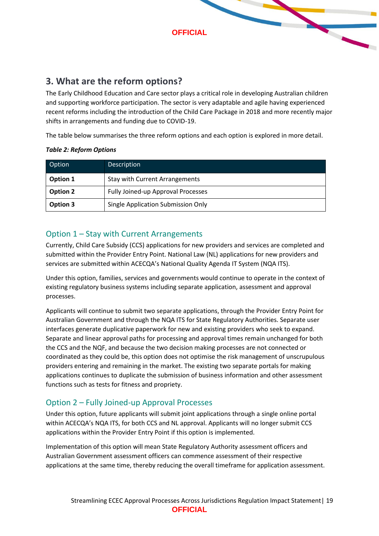

# <span id="page-18-0"></span>**3. What are the reform options?**

The Early Childhood Education and Care sector plays a critical role in developing Australian children and supporting workforce participation. The sector is very adaptable and agile having experienced recent reforms including the introduction of the Child Care Package in 2018 and more recently major shifts in arrangements and funding due to COVID-19.

The table below summarises the three reform options and each option is explored in more detail.

| Option   | <b>Description</b>                    |
|----------|---------------------------------------|
| Option 1 | <b>Stay with Current Arrangements</b> |
| Option 2 | Fully Joined-up Approval Processes    |
| Option 3 | Single Application Submission Only    |

#### *Table 2: Reform Options*

# <span id="page-18-1"></span>Option 1 – Stay with Current Arrangements

Currently, Child Care Subsidy (CCS) applications for new providers and services are completed and submitted within the Provider Entry Point. National Law (NL) applications for new providers and services are submitted within ACECQA's National Quality Agenda IT System (NQA ITS).

Under this option, families, services and governments would continue to operate in the context of existing regulatory business systems including separate application, assessment and approval processes.

Applicants will continue to submit two separate applications, through the Provider Entry Point for Australian Government and through the NQA ITS for State Regulatory Authorities. Separate user interfaces generate duplicative paperwork for new and existing providers who seek to expand. Separate and linear approval paths for processing and approval times remain unchanged for both the CCS and the NQF, and because the two decision making processes are not connected or coordinated as they could be, this option does not optimise the risk management of unscrupulous providers entering and remaining in the market. The existing two separate portals for making applications continues to duplicate the submission of business information and other assessment functions such as tests for fitness and propriety.

# <span id="page-18-2"></span>Option 2 – Fully Joined-up Approval Processes

Under this option, future applicants will submit joint applications through a single online portal within ACECQA's NQA ITS, for both CCS and NL approval. Applicants will no longer submit CCS applications within the Provider Entry Point if this option is implemented.

Implementation of this option will mean State Regulatory Authority assessment officers and Australian Government assessment officers can commence assessment of their respective applications at the same time, thereby reducing the overall timeframe for application assessment.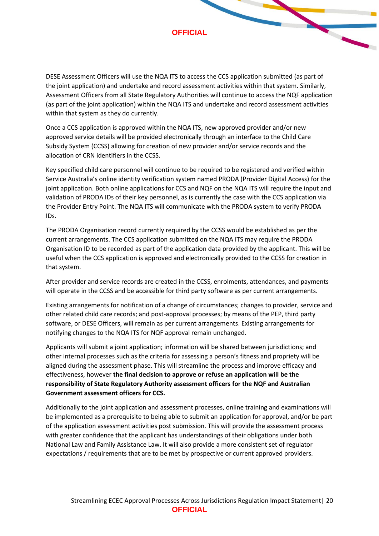DESE Assessment Officers will use the NQA ITS to access the CCS application submitted (as part of the joint application) and undertake and record assessment activities within that system. Similarly, Assessment Officers from all State Regulatory Authorities will continue to access the NQF application (as part of the joint application) within the NQA ITS and undertake and record assessment activities within that system as they do currently.

Once a CCS application is approved within the NQA ITS, new approved provider and/or new approved service details will be provided electronically through an interface to the Child Care Subsidy System (CCSS) allowing for creation of new provider and/or service records and the allocation of CRN identifiers in the CCSS.

Key specified child care personnel will continue to be required to be registered and verified within Service Australia's online identity verification system named PRODA (Provider Digital Access) for the joint application. Both online applications for CCS and NQF on the NQA ITS will require the input and validation of PRODA IDs of their key personnel, as is currently the case with the CCS application via the Provider Entry Point. The NQA ITS will communicate with the PRODA system to verify PRODA IDs.

The PRODA Organisation record currently required by the CCSS would be established as per the current arrangements. The CCS application submitted on the NQA ITS may require the PRODA Organisation ID to be recorded as part of the application data provided by the applicant. This will be useful when the CCS application is approved and electronically provided to the CCSS for creation in that system.

After provider and service records are created in the CCSS, enrolments, attendances, and payments will operate in the CCSS and be accessible for third party software as per current arrangements.

Existing arrangements for notification of a change of circumstances; changes to provider, service and other related child care records; and post-approval processes; by means of the PEP, third party software, or DESE Officers, will remain as per current arrangements. Existing arrangements for notifying changes to the NQA ITS for NQF approval remain unchanged.

Applicants will submit a joint application; information will be shared between jurisdictions; and other internal processes such as the criteria for assessing a person's fitness and propriety will be aligned during the assessment phase. This will streamline the process and improve efficacy and effectiveness, however **the final decision to approve or refuse an application will be the responsibility of State Regulatory Authority assessment officers for the NQF and Australian Government assessment officers for CCS.**

Additionally to the joint application and assessment processes, online training and examinations will be implemented as a prerequisite to being able to submit an application for approval, and/or be part of the application assessment activities post submission. This will provide the assessment process with greater confidence that the applicant has understandings of their obligations under both National Law and Family Assistance Law. It will also provide a more consistent set of regulator expectations / requirements that are to be met by prospective or current approved providers.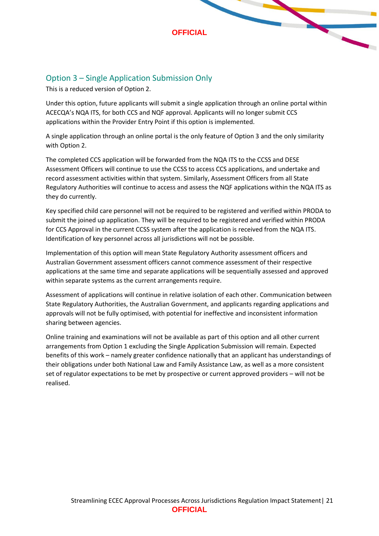# <span id="page-20-0"></span>Option 3 – Single Application Submission Only

This is a reduced version of Option 2.

Under this option, future applicants will submit a single application through an online portal within ACECQA's NQA ITS, for both CCS and NQF approval. Applicants will no longer submit CCS applications within the Provider Entry Point if this option is implemented.

A single application through an online portal is the only feature of Option 3 and the only similarity with Option 2.

The completed CCS application will be forwarded from the NQA ITS to the CCSS and DESE Assessment Officers will continue to use the CCSS to access CCS applications, and undertake and record assessment activities within that system. Similarly, Assessment Officers from all State Regulatory Authorities will continue to access and assess the NQF applications within the NQA ITS as they do currently.

Key specified child care personnel will not be required to be registered and verified within PRODA to submit the joined up application. They will be required to be registered and verified within PRODA for CCS Approval in the current CCSS system after the application is received from the NQA ITS. Identification of key personnel across all jurisdictions will not be possible.

Implementation of this option will mean State Regulatory Authority assessment officers and Australian Government assessment officers cannot commence assessment of their respective applications at the same time and separate applications will be sequentially assessed and approved within separate systems as the current arrangements require.

Assessment of applications will continue in relative isolation of each other. Communication between State Regulatory Authorities, the Australian Government, and applicants regarding applications and approvals will not be fully optimised, with potential for ineffective and inconsistent information sharing between agencies.

Online training and examinations will not be available as part of this option and all other current arrangements from Option 1 excluding the Single Application Submission will remain. Expected benefits of this work – namely greater confidence nationally that an applicant has understandings of their obligations under both National Law and Family Assistance Law, as well as a more consistent set of regulator expectations to be met by prospective or current approved providers – will not be realised.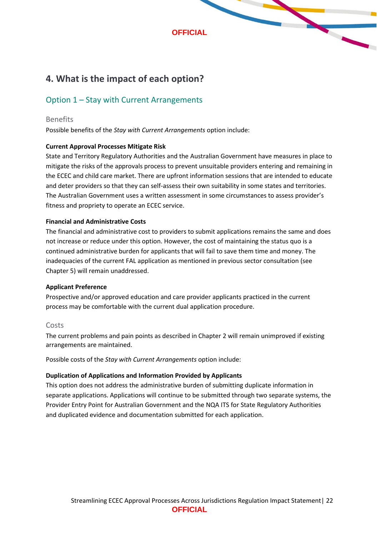# <span id="page-21-0"></span>**4. What is the impact of each option?**

# <span id="page-21-1"></span>Option 1 – Stay with Current Arrangements

#### Benefits

Possible benefits of the *Stay with Current Arrangements* option include:

#### **Current Approval Processes Mitigate Risk**

State and Territory Regulatory Authorities and the Australian Government have measures in place to mitigate the risks of the approvals process to prevent unsuitable providers entering and remaining in the ECEC and child care market. There are upfront information sessions that are intended to educate and deter providers so that they can self-assess their own suitability in some states and territories. The Australian Government uses a written assessment in some circumstances to assess provider's fitness and propriety to operate an ECEC service.

#### **Financial and Administrative Costs**

The financial and administrative cost to providers to submit applications remains the same and does not increase or reduce under this option. However, the cost of maintaining the status quo is a continued administrative burden for applicants that will fail to save them time and money. The inadequacies of the current FAL application as mentioned in previous sector consultation (see Chapter 5) will remain unaddressed.

#### **Applicant Preference**

Prospective and/or approved education and care provider applicants practiced in the current process may be comfortable with the current dual application procedure.

#### Costs

The current problems and pain points as described in Chapter 2 will remain unimproved if existing arrangements are maintained.

Possible costs of the *Stay with Current Arrangements* option include:

#### **Duplication of Applications and Information Provided by Applicants**

This option does not address the administrative burden of submitting duplicate information in separate applications. Applications will continue to be submitted through two separate systems, the Provider Entry Point for Australian Government and the NQA ITS for State Regulatory Authorities and duplicated evidence and documentation submitted for each application.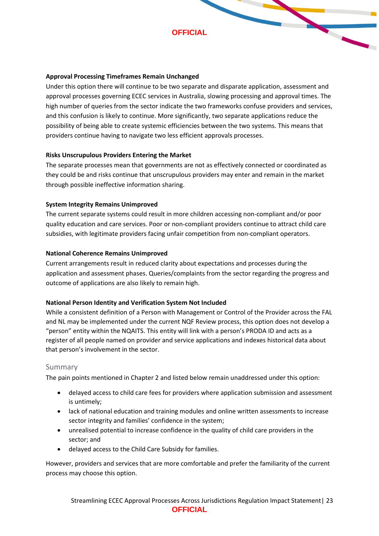

#### **Approval Processing Timeframes Remain Unchanged**

Under this option there will continue to be two separate and disparate application, assessment and approval processes governing ECEC services in Australia, slowing processing and approval times. The high number of queries from the sector indicate the two frameworks confuse providers and services, and this confusion is likely to continue. More significantly, two separate applications reduce the possibility of being able to create systemic efficiencies between the two systems. This means that providers continue having to navigate two less efficient approvals processes.

#### **Risks Unscrupulous Providers Entering the Market**

The separate processes mean that governments are not as effectively connected or coordinated as they could be and risks continue that unscrupulous providers may enter and remain in the market through possible ineffective information sharing.

#### **System Integrity Remains Unimproved**

The current separate systems could result in more children accessing non-compliant and/or poor quality education and care services. Poor or non-compliant providers continue to attract child care subsidies, with legitimate providers facing unfair competition from non-compliant operators.

#### **National Coherence Remains Unimproved**

Current arrangements result in reduced clarity about expectations and processes during the application and assessment phases. Queries/complaints from the sector regarding the progress and outcome of applications are also likely to remain high.

#### **National Person Identity and Verification System Not Included**

While a consistent definition of a Person with Management or Control of the Provider across the FAL and NL may be implemented under the current NQF Review process, this option does not develop a "person" entity within the NQAITS. This entity will link with a person's PRODA ID and acts as a register of all people named on provider and service applications and indexes historical data about that person's involvement in the sector.

#### Summary

The pain points mentioned in Chapter 2 and listed below remain unaddressed under this option:

- delayed access to child care fees for providers where application submission and assessment is untimely;
- lack of national education and training modules and online written assessments to increase sector integrity and families' confidence in the system;
- unrealised potential to increase confidence in the quality of child care providers in the sector; and
- delayed access to the Child Care Subsidy for families.

However, providers and services that are more comfortable and prefer the familiarity of the current process may choose this option.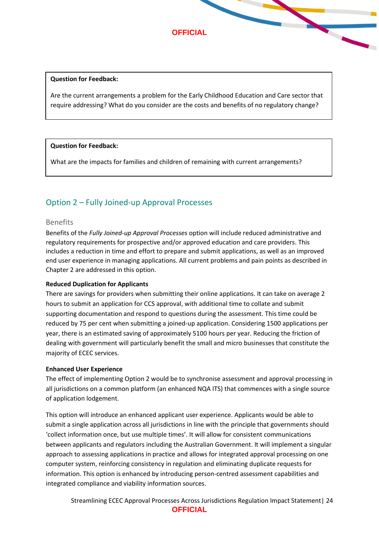

#### **Question for Feedback:**

Are the current arrangements a problem for the Early Childhood Education and Care sector that require addressing? What do you consider are the costs and benefits of no regulatory change?

#### **Question for Feedback:**

What are the impacts for families and children of remaining with current arrangements?

# <span id="page-23-0"></span>Option 2 – Fully Joined-up Approval Processes

#### Benefits

Benefits of the *Fully Joined-up Approval Processes* option will include reduced administrative and regulatory requirements for prospective and/or approved education and care providers. This includes a reduction in time and effort to prepare and submit applications, as well as an improved end user experience in managing applications. All current problems and pain points as described in Chapter 2 are addressed in this option.

#### **Reduced Duplication for Applicants**

There are savings for providers when submitting their online applications. It can take on average 2 hours to submit an application for CCS approval, with additional time to collate and submit supporting documentation and respond to questions during the assessment. This time could be reduced by 75 per cent when submitting a joined-up application. Considering 1500 applications per year, there is an estimated saving of approximately 5100 hours per year. Reducing the friction of dealing with government will particularly benefit the small and micro businesses that constitute the majority of ECEC services.

#### **Enhanced User Experience**

The effect of implementing Option 2 would be to synchronise assessment and approval processing in all jurisdictions on a common platform (an enhanced NQA ITS) that commences with a single source of application lodgement.

This option will introduce an enhanced applicant user experience. Applicants would be able to submit a single application across all jurisdictions in line with the principle that governments should 'collect information once, but use multiple times'. It will allow for consistent communications between applicants and regulators including the Australian Government. It will implement a singular approach to assessing applications in practice and allows for integrated approval processing on one computer system, reinforcing consistency in regulation and eliminating duplicate requests for information. This option is enhanced by introducing person-centred assessment capabilities and integrated compliance and viability information sources.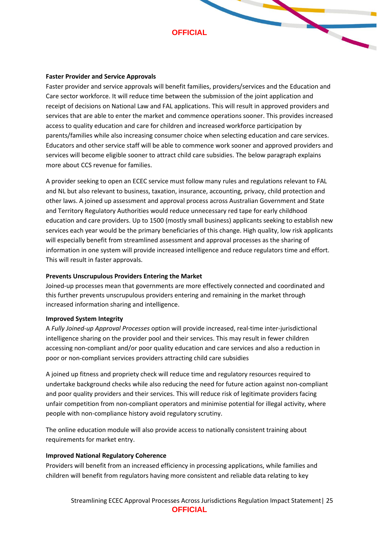#### **Faster Provider and Service Approvals**

Faster provider and service approvals will benefit families, providers/services and the Education and Care sector workforce. It will reduce time between the submission of the joint application and receipt of decisions on National Law and FAL applications. This will result in approved providers and services that are able to enter the market and commence operations sooner. This provides increased access to quality education and care for children and increased workforce participation by parents/families while also increasing consumer choice when selecting education and care services. Educators and other service staff will be able to commence work sooner and approved providers and services will become eligible sooner to attract child care subsidies. The below paragraph explains more about CCS revenue for families.

A provider seeking to open an ECEC service must follow many rules and regulations relevant to FAL and NL but also relevant to business, taxation, insurance, accounting, privacy, child protection and other laws. A joined up assessment and approval process across Australian Government and State and Territory Regulatory Authorities would reduce unnecessary red tape for early childhood education and care providers. Up to 1500 (mostly small business) applicants seeking to establish new services each year would be the primary beneficiaries of this change. High quality, low risk applicants will especially benefit from streamlined assessment and approval processes as the sharing of information in one system will provide increased intelligence and reduce regulators time and effort. This will result in faster approvals.

#### **Prevents Unscrupulous Providers Entering the Market**

Joined-up processes mean that governments are more effectively connected and coordinated and this further prevents unscrupulous providers entering and remaining in the market through increased information sharing and intelligence.

#### **Improved System Integrity**

A *Fully Joined-up Approval Processes* option will provide increased, real-time inter-jurisdictional intelligence sharing on the provider pool and their services. This may result in fewer children accessing non-compliant and/or poor quality education and care services and also a reduction in poor or non-compliant services providers attracting child care subsidies

A joined up fitness and propriety check will reduce time and regulatory resources required to undertake background checks while also reducing the need for future action against non-compliant and poor quality providers and their services. This will reduce risk of legitimate providers facing unfair competition from non-compliant operators and minimise potential for illegal activity, where people with non-compliance history avoid regulatory scrutiny.

The online education module will also provide access to nationally consistent training about requirements for market entry.

#### **Improved National Regulatory Coherence**

Providers will benefit from an increased efficiency in processing applications, while families and children will benefit from regulators having more consistent and reliable data relating to key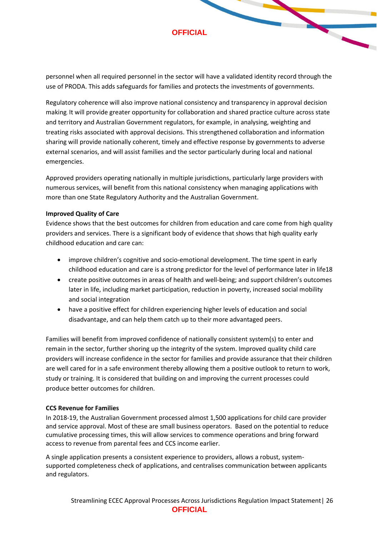personnel when all required personnel in the sector will have a validated identity record through the use of PRODA. This adds safeguards for families and protects the investments of governments.

Regulatory coherence will also improve national consistency and transparency in approval decision making. It will provide greater opportunity for collaboration and shared practice culture across state and territory and Australian Government regulators, for example, in analysing, weighting and treating risks associated with approval decisions. This strengthened collaboration and information sharing will provide nationally coherent, timely and effective response by governments to adverse external scenarios, and will assist families and the sector particularly during local and national emergencies.

Approved providers operating nationally in multiple jurisdictions, particularly large providers with numerous services, will benefit from this national consistency when managing applications with more than one State Regulatory Authority and the Australian Government.

#### **Improved Quality of Care**

Evidence shows that the best outcomes for children from education and care come from high quality providers and services. There is a significant body of evidence that shows that high quality early childhood education and care can:

- improve children's cognitive and socio-emotional development. The time spent in early childhood education and care is a strong predictor for the level of performance later in life18
- create positive outcomes in areas of health and well-being; and support children's outcomes later in life, including market participation, reduction in poverty, increased social mobility and social integration
- have a positive effect for children experiencing higher levels of education and social disadvantage, and can help them catch up to their more advantaged peers.

Families will benefit from improved confidence of nationally consistent system(s) to enter and remain in the sector, further shoring up the integrity of the system. Improved quality child care providers will increase confidence in the sector for families and provide assurance that their children are well cared for in a safe environment thereby allowing them a positive outlook to return to work, study or training. It is considered that building on and improving the current processes could produce better outcomes for children.

#### **CCS Revenue for Families**

In 2018-19, the Australian Government processed almost 1,500 applications for child care provider and service approval. Most of these are small business operators. Based on the potential to reduce cumulative processing times, this will allow services to commence operations and bring forward access to revenue from parental fees and CCS income earlier.

A single application presents a consistent experience to providers, allows a robust, systemsupported completeness check of applications, and centralises communication between applicants and regulators.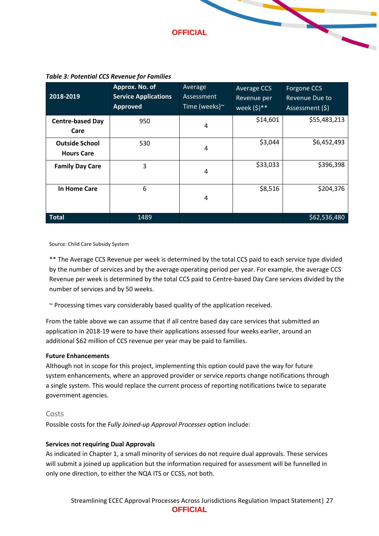

| 2018-2019                                  | Approx. No. of<br><b>Service Applications</b><br><b>Approved</b> | Average<br>Assessment<br>Time (weeks) $\sim$ | Average CCS<br>Revenue per<br>week $(\xi)^{**}$ | Forgone CCS<br>Revenue Due to<br>Assessment (\$) |
|--------------------------------------------|------------------------------------------------------------------|----------------------------------------------|-------------------------------------------------|--------------------------------------------------|
| <b>Centre-based Day</b><br>Care            | 950                                                              | 4                                            | \$14,601                                        | \$55,483,213                                     |
| <b>Outside School</b><br><b>Hours Care</b> | 530                                                              | 4                                            | \$3,044                                         | \$6,452,493                                      |
| <b>Family Day Care</b>                     | 3                                                                | 4                                            | \$33,033                                        | \$396,398                                        |
| In Home Care                               | 6                                                                | 4                                            | \$8,516                                         | \$204,376                                        |
| Total                                      | 1489                                                             |                                              |                                                 | \$62,536,480                                     |

#### *Table 3: Potential CCS Revenue for Families*

Source: Child Care Subsidy System

\*\* The Average CCS Revenue per week is determined by the total CCS paid to each service type divided by the number of services and by the average operating period per year. For example, the average CCS Revenue per week is determined by the total CCS paid to Centre-based Day Care services divided by the number of services and by 50 weeks.

~ Processing times vary considerably based quality of the application received.

From the table above we can assume that if all centre based day care services that submitted an application in 2018-19 were to have their applications assessed four weeks earlier, around an additional \$62 million of CCS revenue per year may be paid to families.

#### **Future Enhancements**

Although not in scope for this project, implementing this option could pave the way for future system enhancements, where an approved provider or service reports change notifications through a single system. This would replace the current process of reporting notifications twice to separate government agencies.

#### Costs

Possible costs for the *Fully Joined-up Approval Processes* option include:

#### **Services not requiring Dual Approvals**

As indicated in Chapter 1, a small minority of services do not require dual approvals. These services will submit a joined up application but the information required for assessment will be funnelled in only one direction, to either the NQA ITS or CCSS, not both.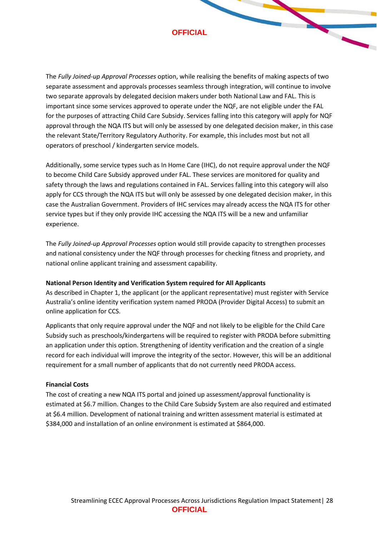The *Fully Joined-up Approval Processes* option, while realising the benefits of making aspects of two separate assessment and approvals processes seamless through integration, will continue to involve two separate approvals by delegated decision makers under both National Law and FAL. This is important since some services approved to operate under the NQF, are not eligible under the FAL for the purposes of attracting Child Care Subsidy. Services falling into this category will apply for NQF approval through the NQA ITS but will only be assessed by one delegated decision maker, in this case the relevant State/Territory Regulatory Authority. For example, this includes most but not all operators of preschool / kindergarten service models.

Additionally, some service types such as In Home Care (IHC), do not require approval under the NQF to become Child Care Subsidy approved under FAL. These services are monitored for quality and safety through the laws and regulations contained in FAL. Services falling into this category will also apply for CCS through the NQA ITS but will only be assessed by one delegated decision maker, in this case the Australian Government. Providers of IHC services may already access the NQA ITS for other service types but if they only provide IHC accessing the NQA ITS will be a new and unfamiliar experience.

The *Fully Joined-up Approval Processes* option would still provide capacity to strengthen processes and national consistency under the NQF through processes for checking fitness and propriety, and national online applicant training and assessment capability.

#### **National Person Identity and Verification System required for All Applicants**

As described in Chapter 1, the applicant (or the applicant representative) must register with Service Australia's online identity verification system named PRODA (Provider Digital Access) to submit an online application for CCS.

Applicants that only require approval under the NQF and not likely to be eligible for the Child Care Subsidy such as preschools/kindergartens will be required to register with PRODA before submitting an application under this option. Strengthening of identity verification and the creation of a single record for each individual will improve the integrity of the sector. However, this will be an additional requirement for a small number of applicants that do not currently need PRODA access.

#### **Financial Costs**

The cost of creating a new NQA ITS portal and joined up assessment/approval functionality is estimated at \$6.7 million. Changes to the Child Care Subsidy System are also required and estimated at \$6.4 million. Development of national training and written assessment material is estimated at \$384,000 and installation of an online environment is estimated at \$864,000.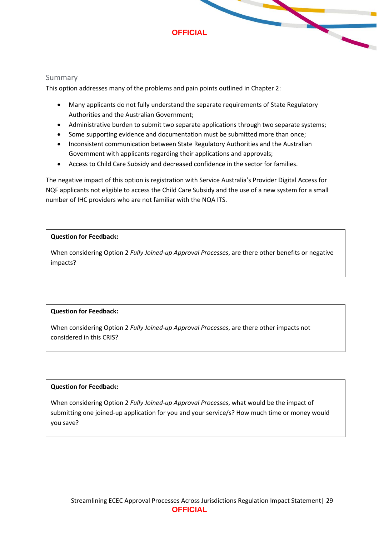

#### Summary

This option addresses many of the problems and pain points outlined in Chapter 2:

- Many applicants do not fully understand the separate requirements of State Regulatory Authorities and the Australian Government;
- Administrative burden to submit two separate applications through two separate systems;
- Some supporting evidence and documentation must be submitted more than once;
- Inconsistent communication between State Regulatory Authorities and the Australian Government with applicants regarding their applications and approvals;
- Access to Child Care Subsidy and decreased confidence in the sector for families.

The negative impact of this option is registration with Service Australia's Provider Digital Access for NQF applicants not eligible to access the Child Care Subsidy and the use of a new system for a small number of IHC providers who are not familiar with the NQA ITS.

#### **Question for Feedback:**

When considering Option 2 *Fully Joined-up Approval Processes*, are there other benefits or negative impacts?

#### **Question for Feedback:**

When considering Option 2 *Fully Joined-up Approval Processes*, are there other impacts not considered in this CRIS?

#### **Question for Feedback:**

When considering Option 2 *Fully Joined-up Approval Processes*, what would be the impact of submitting one joined-up application for you and your service/s? How much time or money would you save?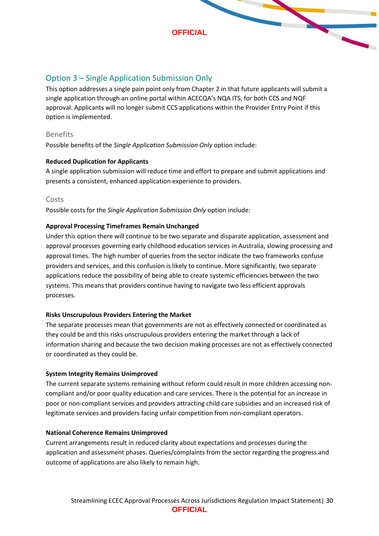

# <span id="page-29-0"></span>Option 3 – Single Application Submission Only

This option addresses a single pain point only from Chapter 2 in that future applicants will submit a single application through an online portal within ACECQA's NQA ITS, for both CCS and NQF approval. Applicants will no longer submit CCS applications within the Provider Entry Point if this option is implemented.

#### Benefits

Possible benefits of the *Single Application Submission Only* option include:

#### **Reduced Duplication for Applicants**

A single application submission will reduce time and effort to prepare and submit applications and presents a consistent, enhanced application experience to providers.

#### Costs

Possible costs for the *Single Application Submission Only* option include:

#### **Approval Processing Timeframes Remain Unchanged**

Under this option there will continue to be two separate and disparate application, assessment and approval processes governing early childhood education services in Australia, slowing processing and approval times. The high number of queries from the sector indicate the two frameworks confuse providers and services, and this confusion is likely to continue. More significantly, two separate applications reduce the possibility of being able to create systemic efficiencies between the two systems. This means that providers continue having to navigate two less efficient approvals processes.

#### **Risks Unscrupulous Providers Entering the Market**

The separate processes mean that governments are not as effectively connected or coordinated as they could be and this risks unscrupulous providers entering the market through a lack of information sharing and because the two decision making processes are not as effectively connected or coordinated as they could be.

#### **System Integrity Remains Unimproved**

The current separate systems remaining without reform could result in more children accessing noncompliant and/or poor quality education and care services. There is the potential for an increase in poor or non-compliant services and providers attracting child care subsidies and an increased risk of legitimate services and providers facing unfair competition from non-compliant operators.

#### **National Coherence Remains Unimproved**

Current arrangements result in reduced clarity about expectations and processes during the application and assessment phases. Queries/complaints from the sector regarding the progress and outcome of applications are also likely to remain high.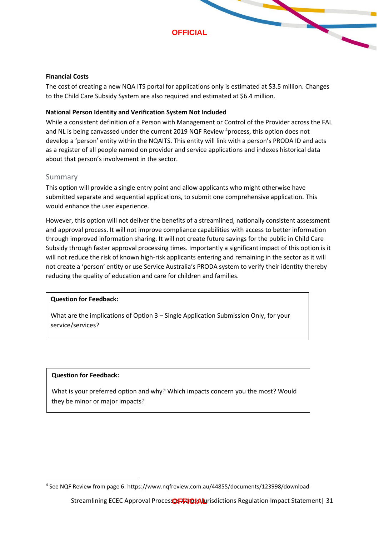



The cost of creating a new NQA ITS portal for applications only is estimated at \$3.5 million. Changes to the Child Care Subsidy System are also required and estimated at \$6.4 million.

#### **National Person Identity and Verification System Not Included**

While a consistent definition of a Person with Management or Control of the Provider across the FAL and NL is being canvassed under the current 2019 NQF Review <sup>4</sup>process, this option does not develop a 'person' entity within the NQAITS. This entity will link with a person's PRODA ID and acts as a register of all people named on provider and service applications and indexes historical data about that person's involvement in the sector.

#### Summary

This option will provide a single entry point and allow applicants who might otherwise have submitted separate and sequential applications, to submit one comprehensive application. This would enhance the user experience.

However, this option will not deliver the benefits of a streamlined, nationally consistent assessment and approval process. It will not improve compliance capabilities with access to better information through improved information sharing. It will not create future savings for the public in Child Care Subsidy through faster approval processing times. Importantly a significant impact of this option is it will not reduce the risk of known high-risk applicants entering and remaining in the sector as it will not create a 'person' entity or use Service Australia's PRODA system to verify their identity thereby reducing the quality of education and care for children and families.

#### **Question for Feedback:**

What are the implications of Option 3 – Single Application Submission Only, for your service/services?

#### **Question for Feedback:**

What is your preferred option and why? Which impacts concern you the most? Would they be minor or major impacts?

<sup>4</sup> See NQF Review from page 6: https://www.nqfreview.com.au/44855/documents/123998/download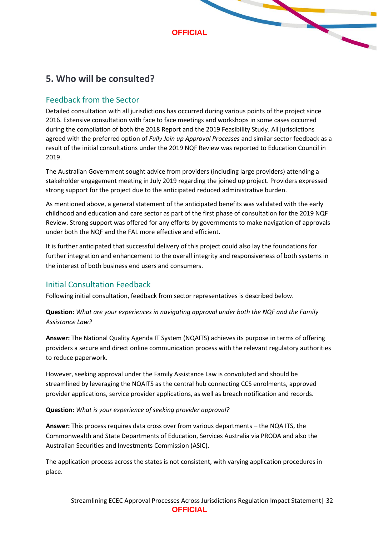

# <span id="page-31-0"></span>**5. Who will be consulted?**

# <span id="page-31-1"></span>Feedback from the Sector

Detailed consultation with all jurisdictions has occurred during various points of the project since 2016. Extensive consultation with face to face meetings and workshops in some cases occurred during the compilation of both the 2018 Report and the 2019 Feasibility Study. All jurisdictions agreed with the preferred option of *Fully Join up Approval Processes* and similar sector feedback as a result of the initial consultations under the 2019 NQF Review was reported to Education Council in 2019.

The Australian Government sought advice from providers (including large providers) attending a stakeholder engagement meeting in July 2019 regarding the joined up project. Providers expressed strong support for the project due to the anticipated reduced administrative burden.

As mentioned above, a general statement of the anticipated benefits was validated with the early childhood and education and care sector as part of the first phase of consultation for the 2019 NQF Review. Strong support was offered for any efforts by governments to make navigation of approvals under both the NQF and the FAL more effective and efficient.

It is further anticipated that successful delivery of this project could also lay the foundations for further integration and enhancement to the overall integrity and responsiveness of both systems in the interest of both business end users and consumers.

# <span id="page-31-2"></span>Initial Consultation Feedback

Following initial consultation, feedback from sector representatives is described below.

**Question:** *What are your experiences in navigating approval under both the NQF and the Family Assistance Law?*

**Answer:** The National Quality Agenda IT System (NQAITS) achieves its purpose in terms of offering providers a secure and direct online communication process with the relevant regulatory authorities to reduce paperwork.

However, seeking approval under the Family Assistance Law is convoluted and should be streamlined by leveraging the NQAITS as the central hub connecting CCS enrolments, approved provider applications, service provider applications, as well as breach notification and records.

#### **Question:** *What is your experience of seeking provider approval?*

**Answer:** This process requires data cross over from various departments – the NQA ITS, the Commonwealth and State Departments of Education, Services Australia via PRODA and also the Australian Securities and Investments Commission (ASIC).

The application process across the states is not consistent, with varying application procedures in place.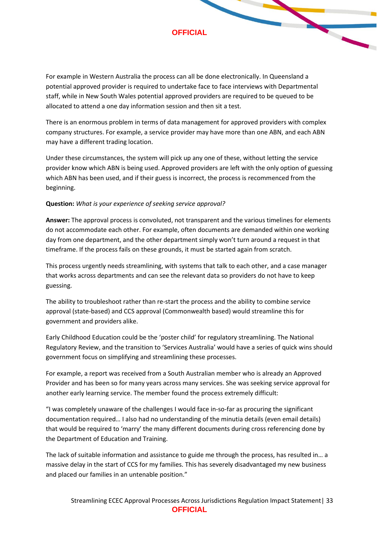For example in Western Australia the process can all be done electronically. In Queensland a potential approved provider is required to undertake face to face interviews with Departmental staff, while in New South Wales potential approved providers are required to be queued to be allocated to attend a one day information session and then sit a test.

There is an enormous problem in terms of data management for approved providers with complex company structures. For example, a service provider may have more than one ABN, and each ABN may have a different trading location.

Under these circumstances, the system will pick up any one of these, without letting the service provider know which ABN is being used. Approved providers are left with the only option of guessing which ABN has been used, and if their guess is incorrect, the process is recommenced from the beginning.

#### **Question:** *What is your experience of seeking service approval?*

**Answer:** The approval process is convoluted, not transparent and the various timelines for elements do not accommodate each other. For example, often documents are demanded within one working day from one department, and the other department simply won't turn around a request in that timeframe. If the process fails on these grounds, it must be started again from scratch.

This process urgently needs streamlining, with systems that talk to each other, and a case manager that works across departments and can see the relevant data so providers do not have to keep guessing.

The ability to troubleshoot rather than re-start the process and the ability to combine service approval (state-based) and CCS approval (Commonwealth based) would streamline this for government and providers alike.

Early Childhood Education could be the 'poster child' for regulatory streamlining. The National Regulatory Review, and the transition to 'Services Australia' would have a series of quick wins should government focus on simplifying and streamlining these processes.

For example, a report was received from a South Australian member who is already an Approved Provider and has been so for many years across many services. She was seeking service approval for another early learning service. The member found the process extremely difficult:

"I was completely unaware of the challenges I would face in-so-far as procuring the significant documentation required… I also had no understanding of the minutia details (even email details) that would be required to 'marry' the many different documents during cross referencing done by the Department of Education and Training.

The lack of suitable information and assistance to guide me through the process, has resulted in… a massive delay in the start of CCS for my families. This has severely disadvantaged my new business and placed our families in an untenable position."